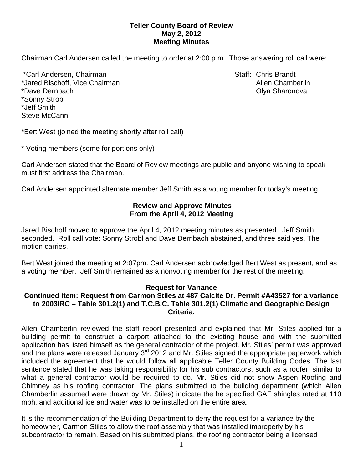## **Teller County Board of Review May 2, 2012 Meeting Minutes**

Chairman Carl Andersen called the meeting to order at 2:00 p.m. Those answering roll call were:

\*Carl Andersen, Chairman Staff: Chris Brandt \*Jared Bischoff, Vice Chairman Allen Chamberlin Allen Chamberlin \*Dave Dernbach Olya Sharonova \*Sonny Strobl \*Jeff Smith Steve McCann

\*Bert West (joined the meeting shortly after roll call)

\* Voting members (some for portions only)

Carl Andersen stated that the Board of Review meetings are public and anyone wishing to speak must first address the Chairman.

Carl Andersen appointed alternate member Jeff Smith as a voting member for today's meeting.

# **Review and Approve Minutes From the April 4, 2012 Meeting**

Jared Bischoff moved to approve the April 4, 2012 meeting minutes as presented. Jeff Smith seconded.Roll call vote: Sonny Strobl and Dave Dernbach abstained, and three said yes. The motion carries.

Bert West joined the meeting at 2:07pm. Carl Andersen acknowledged Bert West as present, and as a voting member. Jeff Smith remained as a nonvoting member for the rest of the meeting.

#### **Request for Variance**

### **Continued item: Request from Carmon Stiles at 487 Calcite Dr. Permit #A43527 for a variance to 2003IRC – Table 301.2(1) and T.C.B.C. Table 301.2(1) Climatic and Geographic Design Criteria.**

Allen Chamberlin reviewed the staff report presented and explained that Mr. Stiles applied for a building permit to construct a carport attached to the existing house and with the submitted application has listed himself as the general contractor of the project. Mr. Stiles' permit was approved and the plans were released January 3<sup>rd</sup> 2012 and Mr. Stiles signed the appropriate paperwork which included the agreement that he would follow all applicable Teller County Building Codes. The last sentence stated that he was taking responsibility for his sub contractors, such as a roofer, similar to what a general contractor would be required to do. Mr. Stiles did not show Aspen Roofing and Chimney as his roofing contractor. The plans submitted to the building department (which Allen Chamberlin assumed were drawn by Mr. Stiles) indicate the he specified GAF shingles rated at 110 mph. and additional ice and water was to be installed on the entire area.

It is the recommendation of the Building Department to deny the request for a variance by the homeowner, Carmon Stiles to allow the roof assembly that was installed improperly by his subcontractor to remain. Based on his submitted plans, the roofing contractor being a licensed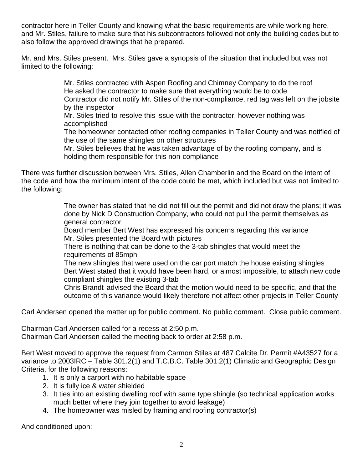contractor here in Teller County and knowing what the basic requirements are while working here, and Mr. Stiles, failure to make sure that his subcontractors followed not only the building codes but to also follow the approved drawings that he prepared.

Mr. and Mrs. Stiles present. Mrs. Stiles gave a synopsis of the situation that included but was not limited to the following:

> Mr. Stiles contracted with Aspen Roofing and Chimney Company to do the roof He asked the contractor to make sure that everything would be to code Contractor did not notify Mr. Stiles of the non-compliance, red tag was left on the jobsite by the inspector

Mr. Stiles tried to resolve this issue with the contractor, however nothing was accomplished

The homeowner contacted other roofing companies in Teller County and was notified of the use of the same shingles on other structures

Mr. Stiles believes that he was taken advantage of by the roofing company, and is holding them responsible for this non-compliance

There was further discussion between Mrs. Stiles, Allen Chamberlin and the Board on the intent of the code and how the minimum intent of the code could be met, which included but was not limited to the following:

> The owner has stated that he did not fill out the permit and did not draw the plans; it was done by Nick D Construction Company, who could not pull the permit themselves as general contractor

Board member Bert West has expressed his concerns regarding this variance Mr. Stiles presented the Board with pictures

There is nothing that can be done to the 3-tab shingles that would meet the requirements of 85mph

The new shingles that were used on the car port match the house existing shingles Bert West stated that it would have been hard, or almost impossible, to attach new code compliant shingles the existing 3-tab

Chris Brandt advised the Board that the motion would need to be specific, and that the outcome of this variance would likely therefore not affect other projects in Teller County

Carl Andersen opened the matter up for public comment. No public comment. Close public comment.

Chairman Carl Andersen called for a recess at 2:50 p.m. Chairman Carl Andersen called the meeting back to order at 2:58 p.m.

Bert West moved to approve the request from Carmon Stiles at 487 Calcite Dr. Permit #A43527 for a variance to 2003IRC – Table 301.2(1) and T.C.B.C. Table 301.2(1) Climatic and Geographic Design Criteria, for the following reasons:

- 1. It is only a carport with no habitable space
- 2. It is fully ice & water shielded
- 3. It ties into an existing dwelling roof with same type shingle (so technical application works much better where they join together to avoid leakage)
- 4. The homeowner was misled by framing and roofing contractor(s)

And conditioned upon: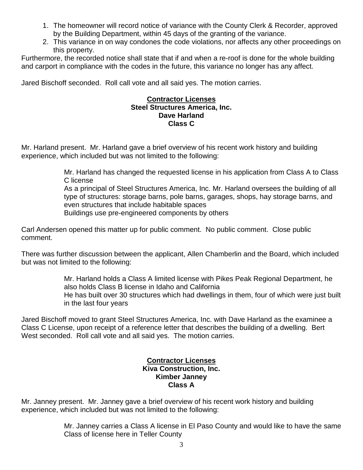- 1. The homeowner will record notice of variance with the County Clerk & Recorder, approved by the Building Department, within 45 days of the granting of the variance.
- 2. This variance in on way condones the code violations, nor affects any other proceedings on this property.

Furthermore, the recorded notice shall state that if and when a re-roof is done for the whole building and carport in compliance with the codes in the future, this variance no longer has any affect.

Jared Bischoff seconded.Roll call vote and all said yes. The motion carries.

## **Contractor Licenses Steel Structures America, Inc. Dave Harland Class C**

Mr. Harland present. Mr. Harland gave a brief overview of his recent work history and building experience, which included but was not limited to the following:

> Mr. Harland has changed the requested license in his application from Class A to Class C license

As a principal of Steel Structures America, Inc. Mr. Harland oversees the building of all type of structures: storage barns, pole barns, garages, shops, hay storage barns, and even structures that include habitable spaces Buildings use pre-engineered components by others

Carl Andersen opened this matter up for public comment. No public comment. Close public comment.

There was further discussion between the applicant, Allen Chamberlin and the Board, which included but was not limited to the following:

> Mr. Harland holds a Class A limited license with Pikes Peak Regional Department, he also holds Class B license in Idaho and California He has built over 30 structures which had dwellings in them, four of which were just built in the last four years

Jared Bischoff moved to grant Steel Structures America, Inc. with Dave Harland as the examinee a Class C License, upon receipt of a reference letter that describes the building of a dwelling. Bert West seconded. Roll call vote and all said yes. The motion carries.

## **Contractor Licenses Kiva Construction, Inc. Kimber Janney Class A**

Mr. Janney present. Mr. Janney gave a brief overview of his recent work history and building experience, which included but was not limited to the following:

> Mr. Janney carries a Class A license in El Paso County and would like to have the same Class of license here in Teller County